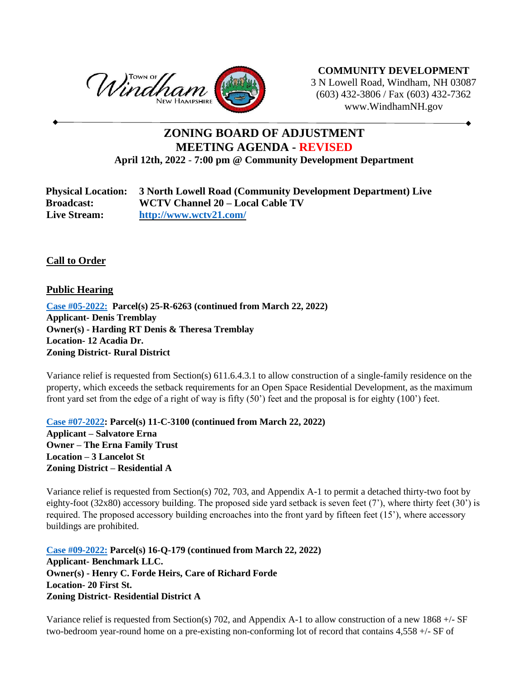

**COMMUNITY DEVELOPMENT** 3 N Lowell Road, Windham, NH 03087 (603) 432-3806 / Fax (603) 432-7362 www.WindhamNH.gov

## **ZONING BOARD OF ADJUSTMENT MEETING AGENDA - REVISED April 12th, 2022** - **7:00 pm @ Community Development Department**

| <b>Physical Location:</b> | 3 North Lowell Road (Community Development Department) Live |
|---------------------------|-------------------------------------------------------------|
| <b>Broadcast:</b>         | WCTV Channel 20 – Local Cable TV                            |
| <b>Live Stream:</b>       | http://www.wctv21.com/                                      |

## **Call to Order**

**Public Hearing**

**Case #05-2022: Parcel(s) 25-R-6263 (continued from March 22, 2022) Applicant- Denis Tremblay Owner(s) - Harding RT Denis & Theresa Tremblay Location- 12 Acadia Dr. Zoning District- Rural District**

Variance relief is requested from Section(s) 611.6.4.3.1 to allow construction of a single-family residence on the property, which exceeds the setback requirements for an Open Space Residential Development, as the maximum front yard set from the edge of a right of way is fifty (50') feet and the proposal is for eighty (100') feet.

**Case #07-2022: Parcel(s) 11-C-3100 (continued from March 22, 2022) Applicant – Salvatore Erna Owner – The Erna Family Trust Location – 3 Lancelot St Zoning District – Residential A**

Variance relief is requested from Section(s) 702, 703, and Appendix A-1 to permit a detached thirty-two foot by eighty-foot (32x80) accessory building. The proposed side yard setback is seven feet (7'), where thirty feet (30') is required. The proposed accessory building encroaches into the front yard by fifteen feet (15'), where accessory buildings are prohibited.

**Case #09-2022: Parcel(s) 16-Q-179 (continued from March 22, 2022) Applicant- Benchmark LLC. Owner(s) - Henry C. Forde Heirs, Care of Richard Forde Location- 20 First St. Zoning District- Residential District A**

Variance relief is requested from Section(s) 702, and Appendix A-1 to allow construction of a new 1868  $+/-$  SF two-bedroom year-round home on a pre-existing non-conforming lot of record that contains 4,558 +/- SF of